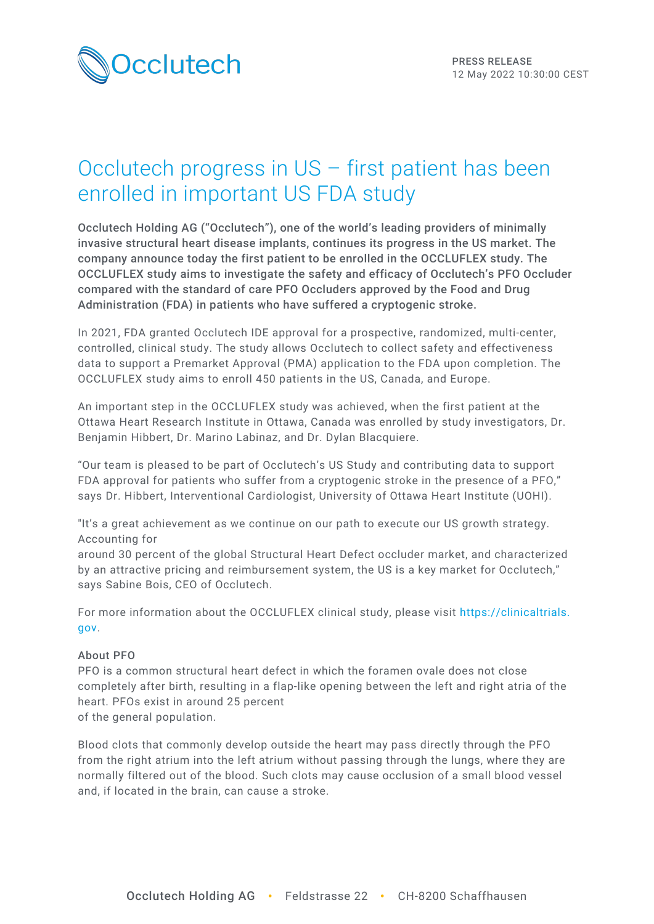

# Occlutech progress in US – first patient has been enrolled in important US FDA study

Occlutech Holding AG ("Occlutech"), one of the world's leading providers of minimally invasive structural heart disease implants, continues its progress in the US market. The company announce today the first patient to be enrolled in the OCCLUFLEX study. The OCCLUFLEX study aims to investigate the safety and efficacy of Occlutech's PFO Occluder compared with the standard of care PFO Occluders approved by the Food and Drug Administration (FDA) in patients who have suffered a cryptogenic stroke.

In 2021, FDA granted Occlutech IDE approval for a prospective, randomized, multi-center, controlled, clinical study. The study allows Occlutech to collect safety and effectiveness data to support a Premarket Approval (PMA) application to the FDA upon completion. The OCCLUFLEX study aims to enroll 450 patients in the US, Canada, and Europe.

An important step in the OCCLUFLEX study was achieved, when the first patient at the Ottawa Heart Research Institute in Ottawa, Canada was enrolled by study investigators, Dr. Benjamin Hibbert, Dr. Marino Labinaz, and Dr. Dylan Blacquiere.

"Our team is pleased to be part of Occlutech's US Study and contributing data to support FDA approval for patients who suffer from a cryptogenic stroke in the presence of a PFO," says Dr. Hibbert, Interventional Cardiologist, University of Ottawa Heart Institute (UOHI).

"It's a great achievement as we continue on our path to execute our US growth strategy. Accounting for

around 30 percent of the global Structural Heart Defect occluder market, and characterized by an attractive pricing and reimbursement system, the US is a key market for Occlutech," says Sabine Bois, CEO of Occlutech.

For more information about the OCCLUFLEX clinical study, please visit [https://clinicaltrials.](https://clinicaltrials.gov/ct2/show/NCT05069558?spons=occlutech&draw=2&rank=5) [gov.](https://clinicaltrials.gov/ct2/show/NCT05069558?spons=occlutech&draw=2&rank=5)

### About PFO

PFO is a common structural heart defect in which the foramen ovale does not close completely after birth, resulting in a flap-like opening between the left and right atria of the heart. PFOs exist in around 25 percent of the general population.

Blood clots that commonly develop outside the heart may pass directly through the PFO from the right atrium into the left atrium without passing through the lungs, where they are normally filtered out of the blood. Such clots may cause occlusion of a small blood vessel and, if located in the brain, can cause a stroke.